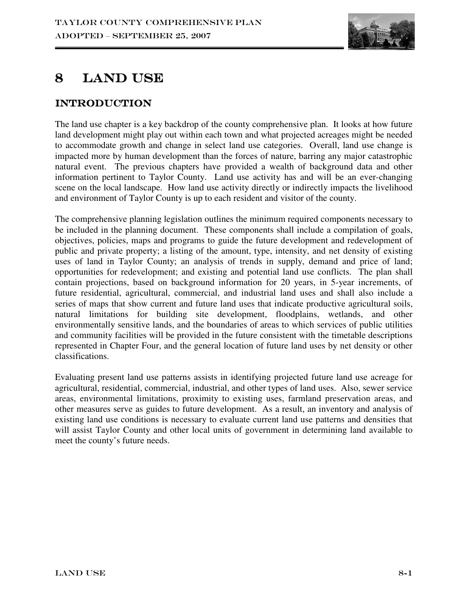

# 8 LAND USE

## Introduction Introduction

The land use chapter is a key backdrop of the county comprehensive plan. It looks at how future land development might play out within each town and what projected acreages might be needed to accommodate growth and change in select land use categories. Overall, land use change is impacted more by human development than the forces of nature, barring any major catastrophic natural event. The previous chapters have provided a wealth of background data and other information pertinent to Taylor County. Land use activity has and will be an ever-changing scene on the local landscape. How land use activity directly or indirectly impacts the livelihood and environment of Taylor County is up to each resident and visitor of the county.

The comprehensive planning legislation outlines the minimum required components necessary to be included in the planning document. These components shall include a compilation of goals, objectives, policies, maps and programs to guide the future development and redevelopment of public and private property; a listing of the amount, type, intensity, and net density of existing uses of land in Taylor County; an analysis of trends in supply, demand and price of land; opportunities for redevelopment; and existing and potential land use conflicts. The plan shall contain projections, based on background information for 20 years, in 5-year increments, of future residential, agricultural, commercial, and industrial land uses and shall also include a series of maps that show current and future land uses that indicate productive agricultural soils, natural limitations for building site development, floodplains, wetlands, and other environmentally sensitive lands, and the boundaries of areas to which services of public utilities and community facilities will be provided in the future consistent with the timetable descriptions represented in Chapter Four, and the general location of future land uses by net density or other classifications.

Evaluating present land use patterns assists in identifying projected future land use acreage for agricultural, residential, commercial, industrial, and other types of land uses. Also, sewer service areas, environmental limitations, proximity to existing uses, farmland preservation areas, and other measures serve as guides to future development. As a result, an inventory and analysis of existing land use conditions is necessary to evaluate current land use patterns and densities that will assist Taylor County and other local units of government in determining land available to meet the county's future needs.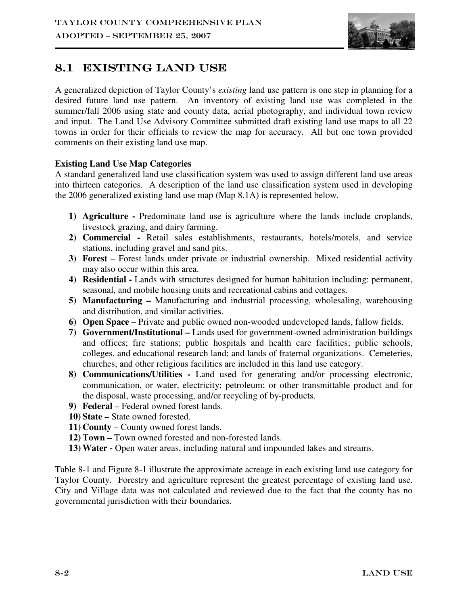

## 8.1 EXISTING LAND USE

A generalized depiction of Taylor County's *existing* land use pattern is one step in planning for a desired future land use pattern. An inventory of existing land use was completed in the summer/fall 2006 using state and county data, aerial photography, and individual town review and input. The Land Use Advisory Committee submitted draft existing land use maps to all 22 towns in order for their officials to review the map for accuracy. All but one town provided comments on their existing land use map.

#### **Existing Land Use Map Categories**

A standard generalized land use classification system was used to assign different land use areas into thirteen categories. A description of the land use classification system used in developing the 2006 generalized existing land use map (Map 8.1A) is represented below.

- **1) Agriculture** Predominate land use is agriculture where the lands include croplands, livestock grazing, and dairy farming.
- **2) Commercial** Retail sales establishments, restaurants, hotels/motels, and service stations, including gravel and sand pits.
- **3) Forest** Forest lands under private or industrial ownership. Mixed residential activity may also occur within this area.
- **4) Residential** Lands with structures designed for human habitation including: permanent, seasonal, and mobile housing units and recreational cabins and cottages.
- **5) Manufacturing** Manufacturing and industrial processing, wholesaling, warehousing and distribution, and similar activities.
- **6) Open Space** Private and public owned non-wooded undeveloped lands, fallow fields.
- **7) Government/Institutional** Lands used for government-owned administration buildings and offices; fire stations; public hospitals and health care facilities; public schools, colleges, and educational research land; and lands of fraternal organizations. Cemeteries, churches, and other religious facilities are included in this land use category.
- **8) Communications/Utilities** Land used for generating and/or processing electronic, communication, or water, electricity; petroleum; or other transmittable product and for the disposal, waste processing, and/or recycling of by-products.
- **9) Federal**  Federal owned forest lands.
- **10) State** State owned forested.
- **11) County**  County owned forest lands.
- **12) Town** Town owned forested and non-forested lands.
- **13) Water** Open water areas, including natural and impounded lakes and streams.

Table 8-1 and Figure 8-1 illustrate the approximate acreage in each existing land use category for Taylor County. Forestry and agriculture represent the greatest percentage of existing land use. City and Village data was not calculated and reviewed due to the fact that the county has no governmental jurisdiction with their boundaries*.*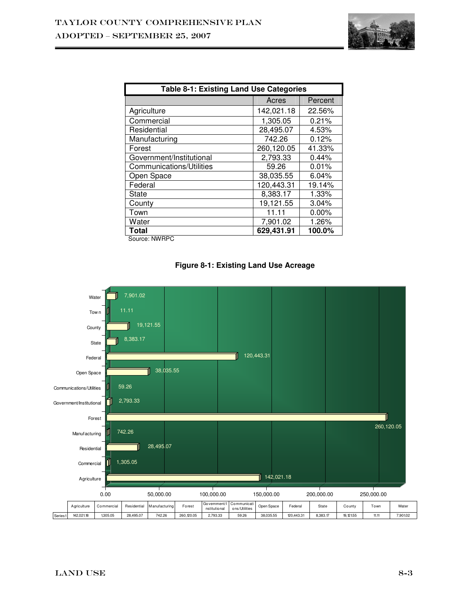

| Table 8-1: Existing Land Use Categories |            |          |  |  |
|-----------------------------------------|------------|----------|--|--|
|                                         | Acres      | Percent  |  |  |
| Agriculture                             | 142,021.18 | 22.56%   |  |  |
| Commercial                              | 1,305.05   | 0.21%    |  |  |
| Residential                             | 28,495.07  | 4.53%    |  |  |
| Manufacturing                           | 742.26     | 0.12%    |  |  |
| Forest                                  | 260,120.05 | 41.33%   |  |  |
| Government/Institutional                | 2,793.33   | 0.44%    |  |  |
| Communications/Utilities                | 59.26      | 0.01%    |  |  |
| Open Space                              | 38,035.55  | 6.04%    |  |  |
| Federal                                 | 120,443.31 | 19.14%   |  |  |
| State                                   | 8,383.17   | 1.33%    |  |  |
| County                                  | 19,121.55  | 3.04%    |  |  |
| Town                                    | 11.11      | $0.00\%$ |  |  |
| Water                                   | 7,901.02   | 1.26%    |  |  |
| <b>Total</b>                            | 629,431.91 | 100.0%   |  |  |

Source: NWRPC



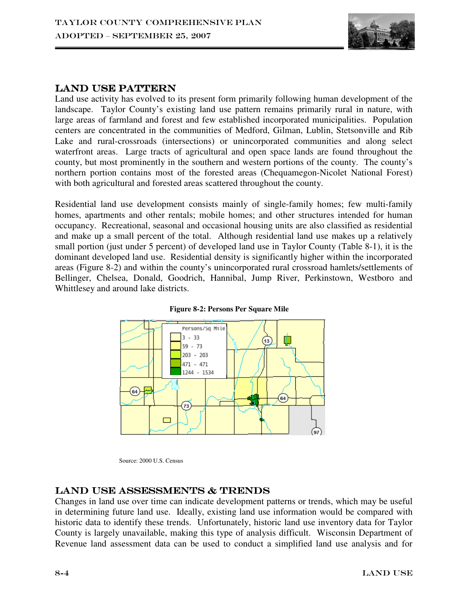

#### LAND USE PATTERN

Land use activity has evolved to its present form primarily following human development of the landscape. Taylor County's existing land use pattern remains primarily rural in nature, with large areas of farmland and forest and few established incorporated municipalities. Population centers are concentrated in the communities of Medford, Gilman, Lublin, Stetsonville and Rib Lake and rural-crossroads (intersections) or unincorporated communities and along select waterfront areas. Large tracts of agricultural and open space lands are found throughout the county, but most prominently in the southern and western portions of the county. The county's northern portion contains most of the forested areas (Chequamegon-Nicolet National Forest) with both agricultural and forested areas scattered throughout the county.

Residential land use development consists mainly of single-family homes; few multi-family homes, apartments and other rentals; mobile homes; and other structures intended for human occupancy. Recreational, seasonal and occasional housing units are also classified as residential and make up a small percent of the total. Although residential land use makes up a relatively small portion (just under 5 percent) of developed land use in Taylor County (Table 8-1), it is the dominant developed land use. Residential density is significantly higher within the incorporated areas (Figure 8-2) and within the county's unincorporated rural crossroad hamlets/settlements of Bellinger, Chelsea, Donald, Goodrich, Hannibal, Jump River, Perkinstown, Westboro and Whittlesey and around lake districts.



**Figure 8-2: Persons Per Square Mile** 

Source: 2000 U.S. Census

## LAND USE ASSESSMENTS & TRENDS

Changes in land use over time can indicate development patterns or trends, which may be useful in determining future land use. Ideally, existing land use information would be compared with historic data to identify these trends. Unfortunately, historic land use inventory data for Taylor County is largely unavailable, making this type of analysis difficult. Wisconsin Department of Revenue land assessment data can be used to conduct a simplified land use analysis and for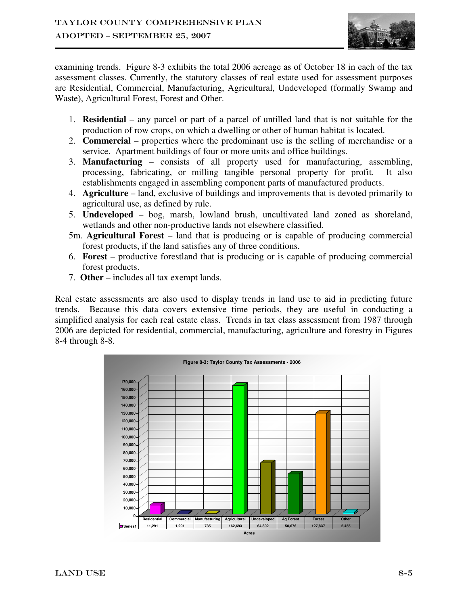

examining trends. Figure 8-3 exhibits the total 2006 acreage as of October 18 in each of the tax assessment classes. Currently, the statutory classes of real estate used for assessment purposes are Residential, Commercial, Manufacturing, Agricultural, Undeveloped (formally Swamp and Waste), Agricultural Forest, Forest and Other.

- 1. **Residential** any parcel or part of a parcel of untilled land that is not suitable for the production of row crops, on which a dwelling or other of human habitat is located.
- 2. **Commercial** properties where the predominant use is the selling of merchandise or a service. Apartment buildings of four or more units and office buildings.
- 3. **Manufacturing** consists of all property used for manufacturing, assembling, processing, fabricating, or milling tangible personal property for profit. It also establishments engaged in assembling component parts of manufactured products.
- 4. **Agriculture**  land, exclusive of buildings and improvements that is devoted primarily to agricultural use, as defined by rule.
- 5. **Undeveloped** bog, marsh, lowland brush, uncultivated land zoned as shoreland, wetlands and other non-productive lands not elsewhere classified.
- 5m. **Agricultural Forest** land that is producing or is capable of producing commercial forest products, if the land satisfies any of three conditions.
- 6. **Forest** productive forestland that is producing or is capable of producing commercial forest products.
- 7. **Other**  includes all tax exempt lands.

Real estate assessments are also used to display trends in land use to aid in predicting future trends. Because this data covers extensive time periods, they are useful in conducting a simplified analysis for each real estate class. Trends in tax class assessment from 1987 through 2006 are depicted for residential, commercial, manufacturing, agriculture and forestry in Figures 8-4 through 8-8.

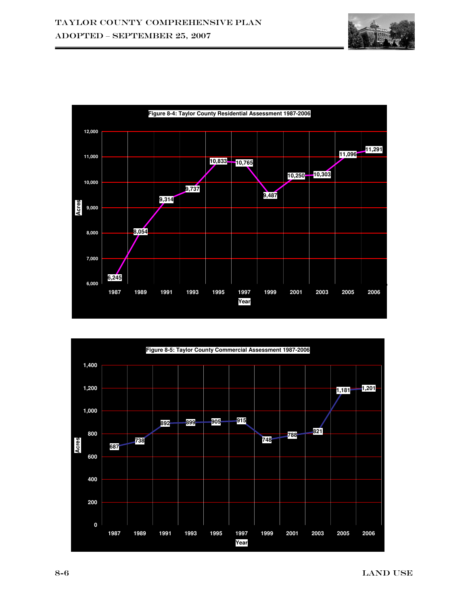



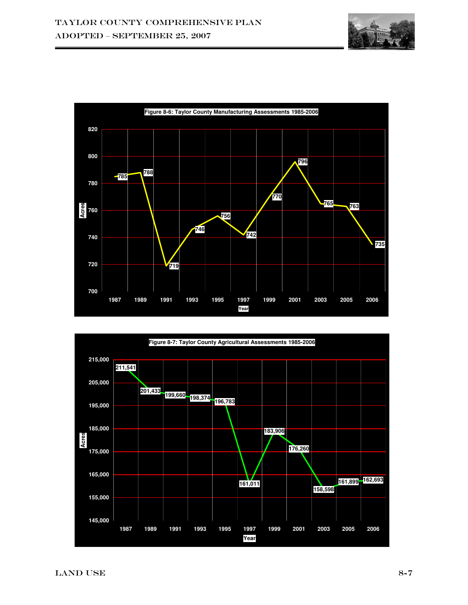



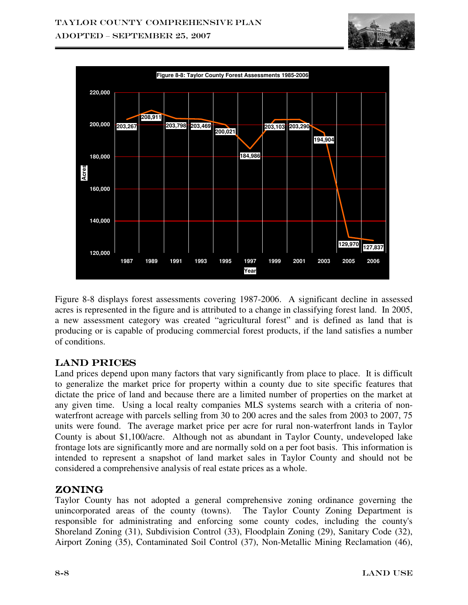



Figure 8-8 displays forest assessments covering 1987-2006. A significant decline in assessed acres is represented in the figure and is attributed to a change in classifying forest land. In 2005, a new assessment category was created "agricultural forest" and is defined as land that is producing or is capable of producing commercial forest products, if the land satisfies a number of conditions.

## LAND PRICES

Land prices depend upon many factors that vary significantly from place to place. It is difficult to generalize the market price for property within a county due to site specific features that dictate the price of land and because there are a limited number of properties on the market at any given time. Using a local realty companies MLS systems search with a criteria of nonwaterfront acreage with parcels selling from 30 to 200 acres and the sales from 2003 to 2007, 75 units were found. The average market price per acre for rural non-waterfront lands in Taylor County is about \$1,100/acre. Although not as abundant in Taylor County, undeveloped lake frontage lots are significantly more and are normally sold on a per foot basis. This information is intended to represent a snapshot of land market sales in Taylor County and should not be considered a comprehensive analysis of real estate prices as a whole.

## Zoning

Taylor County has not adopted a general comprehensive zoning ordinance governing the unincorporated areas of the county (towns). The Taylor County Zoning Department is responsible for administrating and enforcing some county codes, including the county's Shoreland Zoning (31), Subdivision Control (33), Floodplain Zoning (29), Sanitary Code (32), Airport Zoning (35), Contaminated Soil Control (37), Non-Metallic Mining Reclamation (46),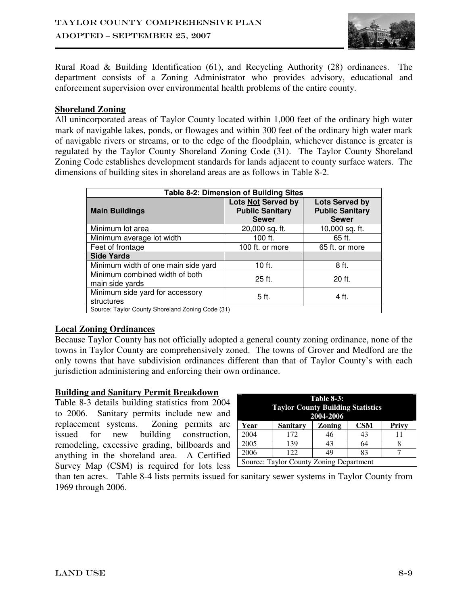

Rural Road & Building Identification (61), and Recycling Authority (28) ordinances. The department consists of a Zoning Administrator who provides advisory, educational and enforcement supervision over environmental health problems of the entire county.

#### **Shoreland Zoning**

All unincorporated areas of Taylor County located within 1,000 feet of the ordinary high water mark of navigable lakes, ponds, or flowages and within 300 feet of the ordinary high water mark of navigable rivers or streams, or to the edge of the floodplain, whichever distance is greater is regulated by the Taylor County Shoreland Zoning Code (31). The Taylor County Shoreland Zoning Code establishes development standards for lands adjacent to county surface waters. The dimensions of building sites in shoreland areas are as follows in Table 8-2.

| Table 8-2: Dimension of Building Sites            |                                                              |                                                                 |  |  |  |
|---------------------------------------------------|--------------------------------------------------------------|-----------------------------------------------------------------|--|--|--|
| <b>Main Buildings</b>                             | Lots Not Served by<br><b>Public Sanitary</b><br><b>Sewer</b> | <b>Lots Served by</b><br><b>Public Sanitary</b><br><b>Sewer</b> |  |  |  |
| Minimum lot area                                  | 20,000 sq. ft.                                               | 10,000 sq. ft.                                                  |  |  |  |
| Minimum average lot width                         | 100 ft.                                                      | 65 ft.                                                          |  |  |  |
| Feet of frontage                                  | 100 ft. or more                                              | 65 ft. or more                                                  |  |  |  |
| <b>Side Yards</b>                                 |                                                              |                                                                 |  |  |  |
| Minimum width of one main side yard               | 10 ft.                                                       | 8 ft.                                                           |  |  |  |
| Minimum combined width of both<br>main side yards | $25$ ft.                                                     | 20 ft.                                                          |  |  |  |
| Minimum side yard for accessory<br>structures     | 5 ft.                                                        | 4 ft.                                                           |  |  |  |
| Source: Taylor County Shoreland Zoning Code (31)  |                                                              |                                                                 |  |  |  |

#### **Local Zoning Ordinances**

Because Taylor County has not officially adopted a general county zoning ordinance, none of the towns in Taylor County are comprehensively zoned. The towns of Grover and Medford are the only towns that have subdivision ordinances different than that of Taylor County's with each jurisdiction administering and enforcing their own ordinance.

#### **Building and Sanitary Permit Breakdown**

Table 8-3 details building statistics from 2004 to 2006. Sanitary permits include new and replacement systems. Zoning permits are issued for new building construction, remodeling, excessive grading, billboards and anything in the shoreland area. A Certified Survey Map (CSM) is required for lots less

| <b>Table 8-3:</b><br><b>Taylor County Building Statistics</b><br>2004-2006 |                                         |               |            |              |  |
|----------------------------------------------------------------------------|-----------------------------------------|---------------|------------|--------------|--|
| Year                                                                       | <b>Sanitary</b>                         | <b>Zoning</b> | <b>CSM</b> | <b>Privy</b> |  |
| 2004                                                                       | 172                                     | 46            | 43         |              |  |
| 2005<br>139<br>43<br>64                                                    |                                         |               |            |              |  |
| 2006<br>122<br>49<br>83                                                    |                                         |               |            |              |  |
|                                                                            | Source: Taylor County Zoning Department |               |            |              |  |

than ten acres. Table 8-4 lists permits issued for sanitary sewer systems in Taylor County from 1969 through 2006.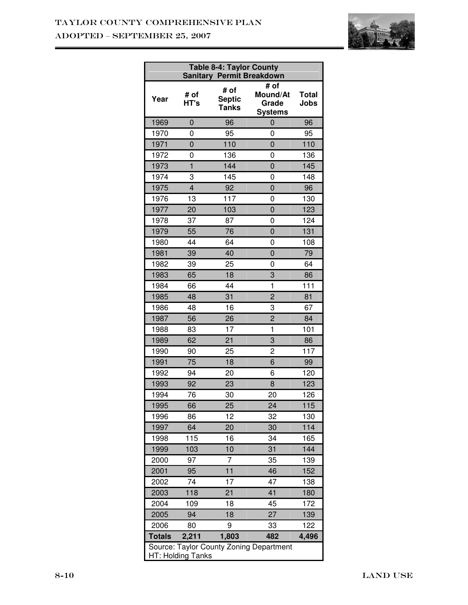## Taylor County Comprehensive Plan ADOPTED – SEPTEMBER 25, 2007



| <b>Table 8-4: Taylor County</b><br><b>Sanitary Permit Breakdown</b> |                |                                       |                                             |                      |
|---------------------------------------------------------------------|----------------|---------------------------------------|---------------------------------------------|----------------------|
| Year                                                                | # of<br>HT's   | # of<br><b>Septic</b><br><b>Tanks</b> | # of<br>Mound/At<br>Grade<br><b>Systems</b> | <b>Total</b><br>Jobs |
| 1969                                                                | 0              | 96                                    | $\overline{0}$                              | 96                   |
| 1970                                                                | 0              | 95                                    | 0                                           | 95                   |
| 1971                                                                | $\overline{0}$ | 110                                   | $\overline{0}$                              | 110                  |
| 1972                                                                | 0              | 136                                   | 0                                           | 136                  |
| 1973                                                                | 1              | 144                                   | 0                                           | 145                  |
| 1974                                                                | 3              | 145                                   | 0                                           | 148                  |
| 1975                                                                | $\overline{4}$ | 92                                    | $\overline{0}$                              | 96                   |
| 1976                                                                | 13             | 117                                   | 0                                           | 130                  |
| 1977                                                                | 20             | 103                                   | $\overline{0}$                              | 123                  |
| 1978                                                                | 37             | 87                                    | 0                                           | 124                  |
| 1979                                                                | 55             | 76                                    | 0                                           | 131                  |
| 1980                                                                | 44             | 64                                    | 0                                           | 108                  |
| 1981                                                                | 39             | 40                                    | 0                                           | 79                   |
| 1982                                                                | 39             | 25                                    | 0                                           | 64                   |
| 1983                                                                | 65             | 18                                    | 3                                           | 86                   |
| 1984                                                                | 66             | 44                                    | 1                                           | 111                  |
| 1985                                                                | 48             | 31                                    | $\overline{2}$                              | 81                   |
| 1986                                                                | 48             | 16                                    | 3                                           | 67                   |
| 1987                                                                | 56             | 26                                    | $\overline{2}$                              | 84                   |
| 1988                                                                | 83             | 17                                    | $\mathbf 1$                                 | 101                  |
| 1989                                                                | 62             | 21                                    | 3                                           | 86                   |
| 1990                                                                | 90             | 25                                    | 2                                           | 117                  |
| 1991                                                                | 75             | 18                                    | 6                                           | 99                   |
| 1992                                                                | 94             | 20                                    | 6                                           | 120                  |
| 1993                                                                | 92             | 23                                    | 8                                           | 123                  |
| 1994                                                                | 76             | 30                                    | 20                                          | 126                  |
| 1995                                                                | 66             | 25                                    | 24                                          | 115                  |
| 1996                                                                | 86             | 12                                    | 32                                          | 130                  |
| 1997                                                                | 64             | 20                                    | 30                                          | 114                  |
| 1998                                                                | 115            | 16                                    | 34                                          | 165                  |
| 1999                                                                | 103            | 10                                    | 31                                          | 144                  |
| 2000                                                                | 97             | 7                                     | 35                                          | 139                  |
| 2001                                                                | 95             | 11                                    | 46                                          | 152                  |
| 2002                                                                | 74             | 17                                    | 47                                          | 138                  |
| 2003                                                                | 118            | 21                                    | 41                                          | 180                  |
| 2004                                                                | 109            | 18                                    | 45                                          | 172                  |
| 2005                                                                | 94             | 18                                    | 27                                          | 139                  |
| 2006                                                                | 80             | 9                                     | 33                                          | 122                  |
| <b>Totals</b>                                                       | 2,211          | 1,803                                 | 482                                         | 4,496                |
| Source: Taylor County Zoning Department<br>HT: Holding Tanks        |                |                                       |                                             |                      |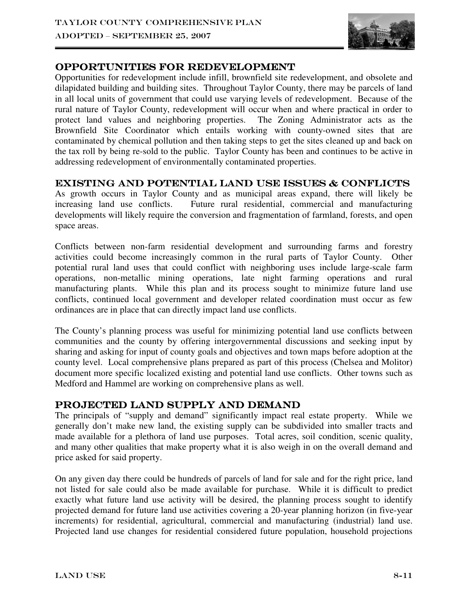

## OPPORTUNITIES FOR REDEVELOPMENT

Opportunities for redevelopment include infill, brownfield site redevelopment, and obsolete and dilapidated building and building sites. Throughout Taylor County, there may be parcels of land in all local units of government that could use varying levels of redevelopment. Because of the rural nature of Taylor County, redevelopment will occur when and where practical in order to protect land values and neighboring properties. The Zoning Administrator acts as the Brownfield Site Coordinator which entails working with county-owned sites that are contaminated by chemical pollution and then taking steps to get the sites cleaned up and back on the tax roll by being re-sold to the public. Taylor County has been and continues to be active in addressing redevelopment of environmentally contaminated properties.

## EXISTING AND POTENTIAL LAND USE ISSUES  $\&$  CONFLICTS

As growth occurs in Taylor County and as municipal areas expand, there will likely be increasing land use conflicts. Future rural residential, commercial and manufacturing developments will likely require the conversion and fragmentation of farmland, forests, and open space areas.

Conflicts between non-farm residential development and surrounding farms and forestry activities could become increasingly common in the rural parts of Taylor County. Other potential rural land uses that could conflict with neighboring uses include large-scale farm operations, non-metallic mining operations, late night farming operations and rural manufacturing plants. While this plan and its process sought to minimize future land use conflicts, continued local government and developer related coordination must occur as few ordinances are in place that can directly impact land use conflicts.

The County's planning process was useful for minimizing potential land use conflicts between communities and the county by offering intergovernmental discussions and seeking input by sharing and asking for input of county goals and objectives and town maps before adoption at the county level. Local comprehensive plans prepared as part of this process (Chelsea and Molitor) document more specific localized existing and potential land use conflicts. Other towns such as Medford and Hammel are working on comprehensive plans as well.

## PROJECTED LAND SUPPLY AND DEMAND

The principals of "supply and demand" significantly impact real estate property. While we generally don't make new land, the existing supply can be subdivided into smaller tracts and made available for a plethora of land use purposes. Total acres, soil condition, scenic quality, and many other qualities that make property what it is also weigh in on the overall demand and price asked for said property.

On any given day there could be hundreds of parcels of land for sale and for the right price, land not listed for sale could also be made available for purchase. While it is difficult to predict exactly what future land use activity will be desired, the planning process sought to identify projected demand for future land use activities covering a 20-year planning horizon (in five-year increments) for residential, agricultural, commercial and manufacturing (industrial) land use. Projected land use changes for residential considered future population, household projections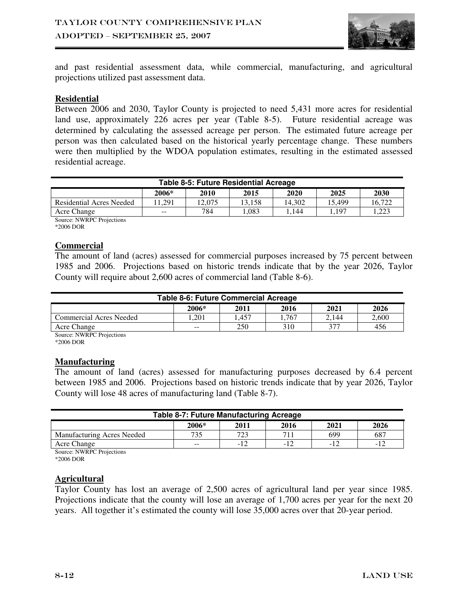

and past residential assessment data, while commercial, manufacturing, and agricultural projections utilized past assessment data.

#### **Residential**

Between 2006 and 2030, Taylor County is projected to need 5,431 more acres for residential land use, approximately 226 acres per year (Table 8-5). Future residential acreage was determined by calculating the assessed acreage per person. The estimated future acreage per person was then calculated based on the historical yearly percentage change. These numbers were then multiplied by the WDOA population estimates, resulting in the estimated assessed residential acreage.

| <b>Table 8-5: Future Residential Acreage</b> |       |        |        |        |        |        |
|----------------------------------------------|-------|--------|--------|--------|--------|--------|
|                                              | 2006* | 2010   | 2015   | 2020   | 2025   | 2030   |
| <b>Residential Acres Needed</b>              | 1.291 | .2.075 | 13.158 | 14.302 | 15.499 | 16.722 |
| Acre Change                                  | $- -$ | 784    | .083   | 144    | .197   | .223   |
| Course MWDDC Droigations                     |       |        |        |        |        |        |

Source: NWRPC Projections \*2006 DOR

#### **Commercial**

The amount of land (acres) assessed for commercial purposes increased by 75 percent between 1985 and 2006. Projections based on historic trends indicate that by the year 2026, Taylor County will require about 2,600 acres of commercial land (Table 8-6).

| <b>Table 8-6: Future Commercial Acreage</b>    |       |       |      |       |       |
|------------------------------------------------|-------|-------|------|-------|-------|
|                                                | 2006* | 2011  | 2016 | 2021  | 2026  |
| Commercial Acres Needed                        | .201  | . 457 | .767 | 2.144 | 2.600 |
| 377<br>250<br>310<br>456<br>Acre Change<br>$-$ |       |       |      |       |       |

Source: NWRPC Projections

\*2006 DOR

#### **Manufacturing**

The amount of land (acres) assessed for manufacturing purposes decreased by 6.4 percent between 1985 and 2006. Projections based on historic trends indicate that by year 2026, Taylor County will lose 48 acres of manufacturing land (Table 8-7).

| <b>Table 8-7: Future Manufacturing Acreage</b> |       |      |      |       |      |
|------------------------------------------------|-------|------|------|-------|------|
|                                                | 2006* | 2011 | 2016 | 2021  | 2026 |
| Manufacturing Acres Needed                     | 735   | 723  | 711  | 699   | 687  |
| Acre Change                                    | $- -$ | -12  | - 1  | $-12$ | $-1$ |
| $\overline{M}$<br>$\sim$                       |       |      |      |       |      |

Source: NWRPC Projections

\*2006 DOR

#### **Agricultural**

Taylor County has lost an average of 2,500 acres of agricultural land per year since 1985. Projections indicate that the county will lose an average of 1,700 acres per year for the next 20 years. All together it's estimated the county will lose 35,000 acres over that 20-year period.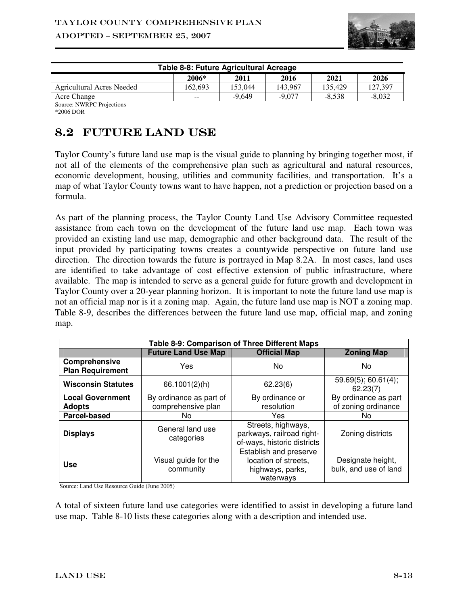

| Table 8-8: Future Agricultural Acreage |         |          |          |          |          |
|----------------------------------------|---------|----------|----------|----------|----------|
|                                        | $2006*$ | 2011     | 2016     | 2021     | 2026     |
| Agricultural Acres Needed              | 162.693 | 153.044  | 143.967  | 135.429  | 127.397  |
| Acre Change                            | $- -$   | $-9.649$ | $-9.077$ | $-8.538$ | $-8.032$ |
| Source: NWRPC Projections              |         |          |          |          |          |

\*2006 DOR

## 8.2 FUTURE LAND USE

Taylor County's future land use map is the visual guide to planning by bringing together most, if not all of the elements of the comprehensive plan such as agricultural and natural resources, economic development, housing, utilities and community facilities, and transportation. It's a map of what Taylor County towns want to have happen, not a prediction or projection based on a formula.

As part of the planning process, the Taylor County Land Use Advisory Committee requested assistance from each town on the development of the future land use map. Each town was provided an existing land use map, demographic and other background data. The result of the input provided by participating towns creates a countywide perspective on future land use direction. The direction towards the future is portrayed in Map 8.2A. In most cases, land uses are identified to take advantage of cost effective extension of public infrastructure, where available. The map is intended to serve as a general guide for future growth and development in Taylor County over a 20-year planning horizon. It is important to note the future land use map is not an official map nor is it a zoning map. Again, the future land use map is NOT a zoning map. Table 8-9, describes the differences between the future land use map, official map, and zoning map.

| Table 8-9: Comparison of Three Different Maps |                                               |                                                                                 |                                             |  |  |
|-----------------------------------------------|-----------------------------------------------|---------------------------------------------------------------------------------|---------------------------------------------|--|--|
|                                               | <b>Future Land Use Map</b>                    | <b>Official Map</b>                                                             | <b>Zoning Map</b>                           |  |  |
| Comprehensive<br><b>Plan Requirement</b>      | Yes                                           | No.                                                                             | No                                          |  |  |
| <b>Wisconsin Statutes</b>                     | 66.1001(2)(h)                                 | 62.23(6)                                                                        | $59.69(5)$ ; 60.61(4);<br>62.23(7)          |  |  |
| <b>Local Government</b><br><b>Adopts</b>      | By ordinance as part of<br>comprehensive plan | By ordinance or<br>resolution                                                   | By ordinance as part<br>of zoning ordinance |  |  |
| <b>Parcel-based</b>                           | No                                            | Yes                                                                             | No.                                         |  |  |
| <b>Displays</b>                               | General land use<br>categories                | Streets, highways,<br>parkways, railroad right-<br>of-ways, historic districts  | Zoning districts                            |  |  |
| <b>Use</b>                                    | Visual guide for the<br>community             | Establish and preserve<br>location of streets,<br>highways, parks,<br>waterways | Designate height,<br>bulk, and use of land  |  |  |

Source: Land Use Resource Guide (June 2005)

A total of sixteen future land use categories were identified to assist in developing a future land use map. Table 8-10 lists these categories along with a description and intended use.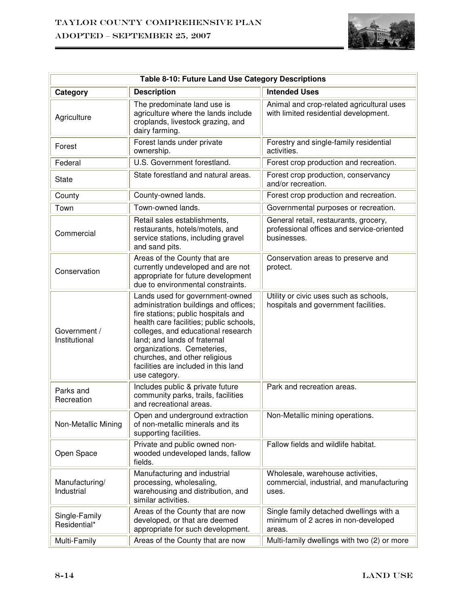## Taylor County Comprehensive Plan ADOPTED – SEPTEMBER 25, 2007



| Table 8-10: Future Land Use Category Descriptions |                                                                                                                                                                                                                                                                                                                                                          |                                                                                                   |  |  |  |
|---------------------------------------------------|----------------------------------------------------------------------------------------------------------------------------------------------------------------------------------------------------------------------------------------------------------------------------------------------------------------------------------------------------------|---------------------------------------------------------------------------------------------------|--|--|--|
| Category                                          | <b>Description</b>                                                                                                                                                                                                                                                                                                                                       | <b>Intended Uses</b>                                                                              |  |  |  |
| Agriculture                                       | The predominate land use is<br>agriculture where the lands include<br>croplands, livestock grazing, and<br>dairy farming.                                                                                                                                                                                                                                | Animal and crop-related agricultural uses<br>with limited residential development.                |  |  |  |
| Forest                                            | Forest lands under private<br>ownership.                                                                                                                                                                                                                                                                                                                 | Forestry and single-family residential<br>activities.                                             |  |  |  |
| Federal                                           | U.S. Government forestland.                                                                                                                                                                                                                                                                                                                              | Forest crop production and recreation.                                                            |  |  |  |
| <b>State</b>                                      | State forestland and natural areas.                                                                                                                                                                                                                                                                                                                      | Forest crop production, conservancy<br>and/or recreation.                                         |  |  |  |
| County                                            | County-owned lands.                                                                                                                                                                                                                                                                                                                                      | Forest crop production and recreation.                                                            |  |  |  |
| Town                                              | Town-owned lands.                                                                                                                                                                                                                                                                                                                                        | Governmental purposes or recreation.                                                              |  |  |  |
| Commercial                                        | Retail sales establishments,<br>restaurants, hotels/motels, and<br>service stations, including gravel<br>and sand pits.                                                                                                                                                                                                                                  | General retail, restaurants, grocery,<br>professional offices and service-oriented<br>businesses. |  |  |  |
| Conservation                                      | Areas of the County that are<br>currently undeveloped and are not<br>appropriate for future development<br>due to environmental constraints.                                                                                                                                                                                                             | Conservation areas to preserve and<br>protect.                                                    |  |  |  |
| Government /<br>Institutional                     | Lands used for government-owned<br>administration buildings and offices;<br>fire stations; public hospitals and<br>health care facilities; public schools,<br>colleges, and educational research<br>land; and lands of fraternal<br>organizations. Cemeteries,<br>churches, and other religious<br>facilities are included in this land<br>use category. | Utility or civic uses such as schools,<br>hospitals and government facilities.                    |  |  |  |
| Parks and<br>Recreation                           | Includes public & private future<br>community parks, trails, facilities<br>and recreational areas.                                                                                                                                                                                                                                                       | Park and recreation areas.                                                                        |  |  |  |
| Non-Metallic Mining                               | Open and underground extraction<br>of non-metallic minerals and its<br>supporting facilities.                                                                                                                                                                                                                                                            | Non-Metallic mining operations.                                                                   |  |  |  |
| Open Space                                        | Private and public owned non-<br>wooded undeveloped lands, fallow<br>fields.                                                                                                                                                                                                                                                                             | Fallow fields and wildlife habitat.                                                               |  |  |  |
| Manufacturing/<br>Industrial                      | Manufacturing and industrial<br>processing, wholesaling,<br>warehousing and distribution, and<br>similar activities.                                                                                                                                                                                                                                     | Wholesale, warehouse activities,<br>commercial, industrial, and manufacturing<br>uses.            |  |  |  |
| Single-Family<br>Residential*                     | Areas of the County that are now<br>developed, or that are deemed<br>appropriate for such development.                                                                                                                                                                                                                                                   | Single family detached dwellings with a<br>minimum of 2 acres in non-developed<br>areas.          |  |  |  |
| Multi-Family                                      | Areas of the County that are now                                                                                                                                                                                                                                                                                                                         | Multi-family dwellings with two (2) or more                                                       |  |  |  |